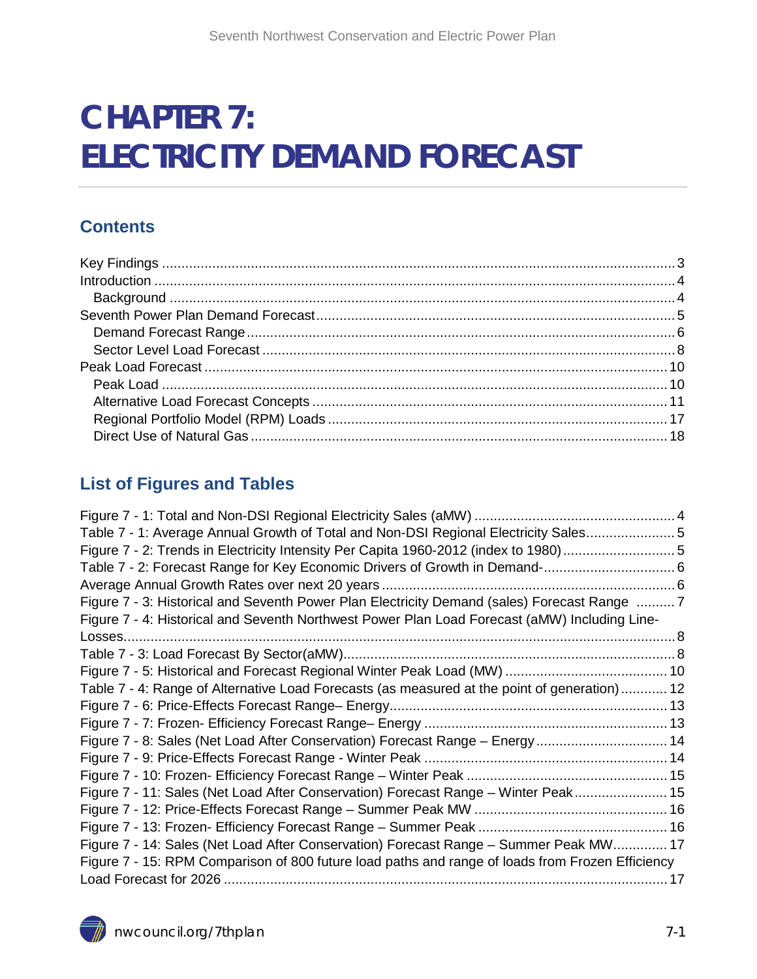# **CHAPTER 7: ELECTRICITY DEMAND FORECAST**

#### **Contents**

#### **List of Figures and Tables**

<span id="page-0-0"></span>

| Table 7 - 1: Average Annual Growth of Total and Non-DSI Regional Electricity Sales5              |  |
|--------------------------------------------------------------------------------------------------|--|
| Figure 7 - 2: Trends in Electricity Intensity Per Capita 1960-2012 (index to 1980) 5             |  |
| Table 7 - 2: Forecast Range for Key Economic Drivers of Growth in Demand- 6                      |  |
|                                                                                                  |  |
| Figure 7 - 3: Historical and Seventh Power Plan Electricity Demand (sales) Forecast Range  7     |  |
| Figure 7 - 4: Historical and Seventh Northwest Power Plan Load Forecast (aMW) Including Line-    |  |
|                                                                                                  |  |
|                                                                                                  |  |
|                                                                                                  |  |
| Table 7 - 4: Range of Alternative Load Forecasts (as measured at the point of generation) 12     |  |
|                                                                                                  |  |
|                                                                                                  |  |
| Figure 7 - 8: Sales (Net Load After Conservation) Forecast Range - Energy 14                     |  |
|                                                                                                  |  |
|                                                                                                  |  |
| Figure 7 - 11: Sales (Net Load After Conservation) Forecast Range - Winter Peak 15               |  |
|                                                                                                  |  |
|                                                                                                  |  |
| Figure 7 - 14: Sales (Net Load After Conservation) Forecast Range - Summer Peak MW 17            |  |
| Figure 7 - 15: RPM Comparison of 800 future load paths and range of loads from Frozen Efficiency |  |
|                                                                                                  |  |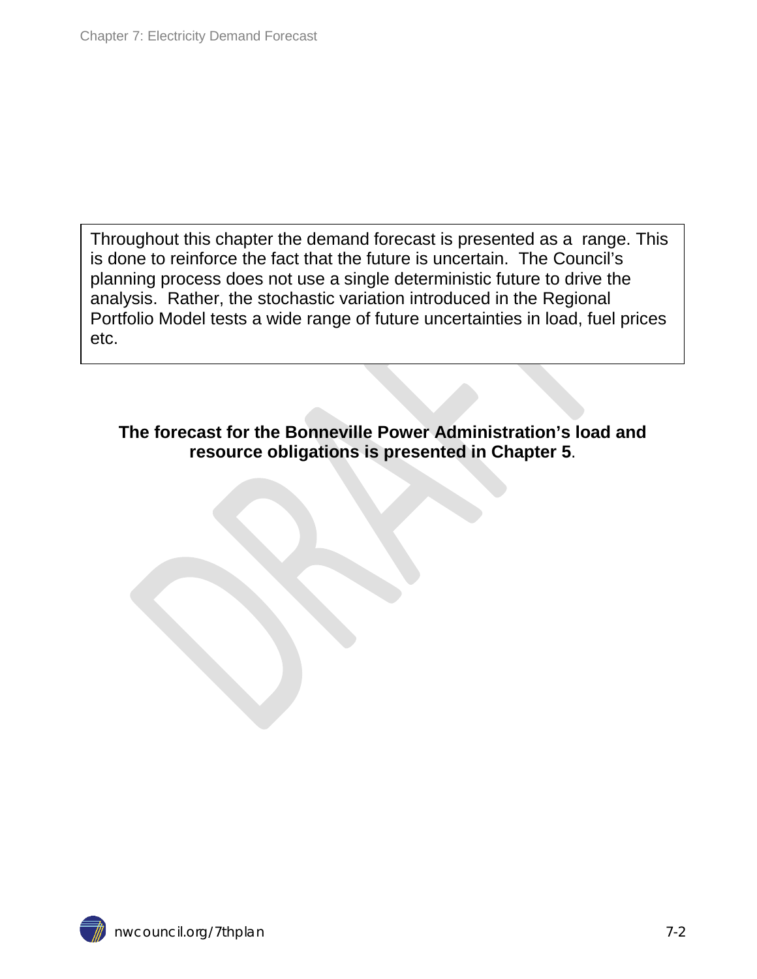Throughout this chapter the demand forecast is presented as a range. This is done to reinforce the fact that the future is uncertain. The Council's planning process does not use a single deterministic future to drive the analysis. Rather, the stochastic variation introduced in the Regional Portfolio Model tests a wide range of future uncertainties in load, fuel prices etc.

**The forecast for the Bonneville Power Administration's load and resource obligations is presented in Chapter 5**.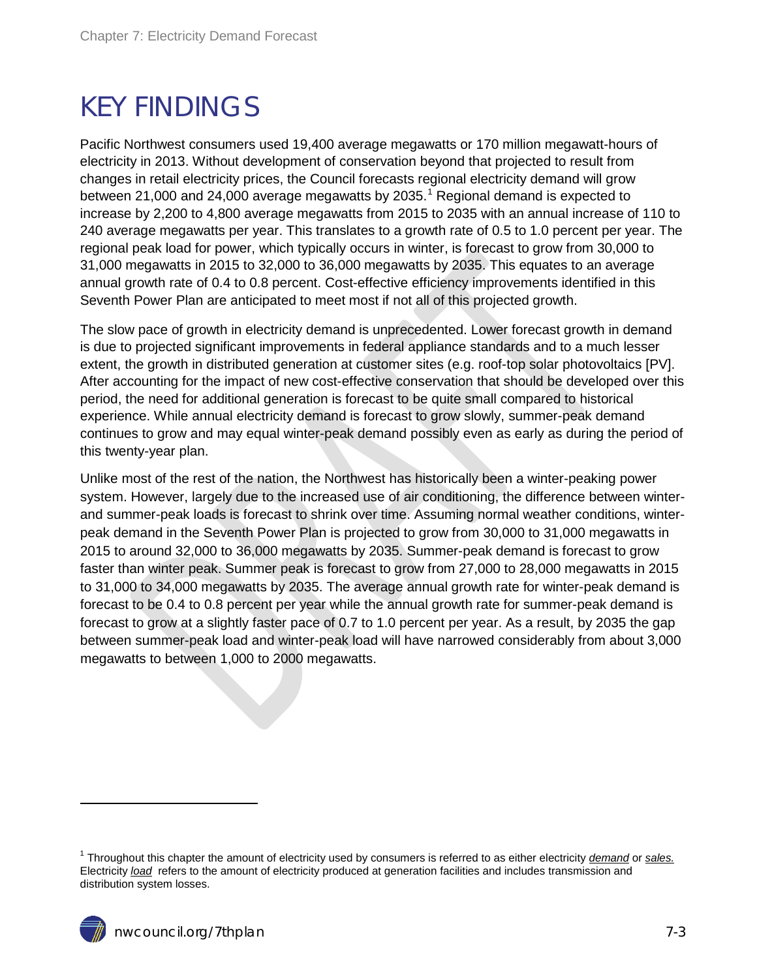# <span id="page-2-0"></span>KEY FINDINGS

Pacific Northwest consumers used 19,400 average megawatts or 170 million megawatt-hours of electricity in 2013. Without development of conservation beyond that projected to result from changes in retail electricity prices, the Council forecasts regional electricity demand will grow between 21,000 and 24,000 average megawatts by 2035. [1](#page-0-0) Regional demand is expected to increase by 2,200 to 4,800 average megawatts from 2015 to 2035 with an annual increase of 110 to 240 average megawatts per year. This translates to a growth rate of 0.5 to 1.0 percent per year. The regional peak load for power, which typically occurs in winter, is forecast to grow from 30,000 to 31,000 megawatts in 2015 to 32,000 to 36,000 megawatts by 2035. This equates to an average annual growth rate of 0.4 to 0.8 percent. Cost-effective efficiency improvements identified in this Seventh Power Plan are anticipated to meet most if not all of this projected growth.

The slow pace of growth in electricity demand is unprecedented. Lower forecast growth in demand is due to projected significant improvements in federal appliance standards and to a much lesser extent, the growth in distributed generation at customer sites (e.g. roof-top solar photovoltaics [PV]. After accounting for the impact of new cost-effective conservation that should be developed over this period, the need for additional generation is forecast to be quite small compared to historical experience. While annual electricity demand is forecast to grow slowly, summer-peak demand continues to grow and may equal winter-peak demand possibly even as early as during the period of this twenty-year plan.

Unlike most of the rest of the nation, the Northwest has historically been a winter-peaking power system. However, largely due to the increased use of air conditioning, the difference between winterand summer-peak loads is forecast to shrink over time. Assuming normal weather conditions, winterpeak demand in the Seventh Power Plan is projected to grow from 30,000 to 31,000 megawatts in 2015 to around 32,000 to 36,000 megawatts by 2035. Summer-peak demand is forecast to grow faster than winter peak. Summer peak is forecast to grow from 27,000 to 28,000 megawatts in 2015 to 31,000 to 34,000 megawatts by 2035. The average annual growth rate for winter-peak demand is forecast to be 0.4 to 0.8 percent per year while the annual growth rate for summer-peak demand is forecast to grow at a slightly faster pace of 0.7 to 1.0 percent per year. As a result, by 2035 the gap between summer-peak load and winter-peak load will have narrowed considerably from about 3,000 megawatts to between 1,000 to 2000 megawatts.

<span id="page-2-1"></span> $\ddot{ }$ 

<span id="page-2-2"></span><sup>1</sup> Throughout this chapter the amount of electricity used by consumers is referred to as either electricity *demand* or *sales.*  Electricity *load* refers to the amount of electricity produced at generation facilities and includes transmission and distribution system losses.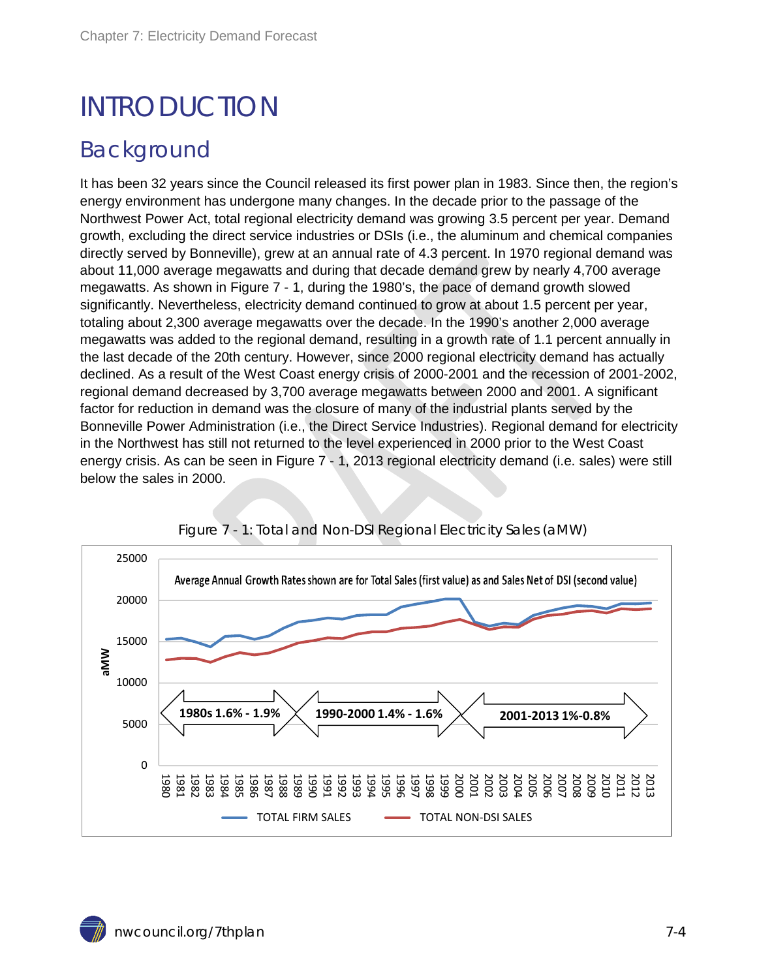# INTRODUCTION

#### <span id="page-3-0"></span>Background

It has been 32 years since the Council released its first power plan in 1983. Since then, the region's energy environment has undergone many changes. In the decade prior to the passage of the Northwest Power Act, total regional electricity demand was growing 3.5 percent per year. Demand growth, excluding the direct service industries or DSIs (i.e., the aluminum and chemical companies directly served by Bonneville), grew at an annual rate of 4.3 percent. In 1970 regional demand was about 11,000 average megawatts and during that decade demand grew by nearly 4,700 average megawatts. As shown in Figure 7 - 1, during the 1980's, the pace of demand growth slowed significantly. Nevertheless, electricity demand continued to grow at about 1.5 percent per year, totaling about 2,300 average megawatts over the decade. In the 1990's another 2,000 average megawatts was added to the regional demand, resulting in a growth rate of 1.1 percent annually in the last decade of the 20th century. However, since 2000 regional electricity demand has actually declined. As a result of the West Coast energy crisis of 2000-2001 and the recession of 2001-2002, regional demand decreased by 3,700 average megawatts between 2000 and 2001. A significant factor for reduction in demand was the closure of many of the industrial plants served by the Bonneville Power Administration (i.e., the Direct Service Industries). Regional demand for electricity in the Northwest has still not returned to the level experienced in 2000 prior to the West Coast energy crisis. As can be seen in Figure 7 - 1, 2013 regional electricity demand (i.e. sales) were still below the sales in 2000.

<span id="page-3-1"></span>

Figure 7 - 1: Total and Non-DSI Regional Electricity Sales (aMW)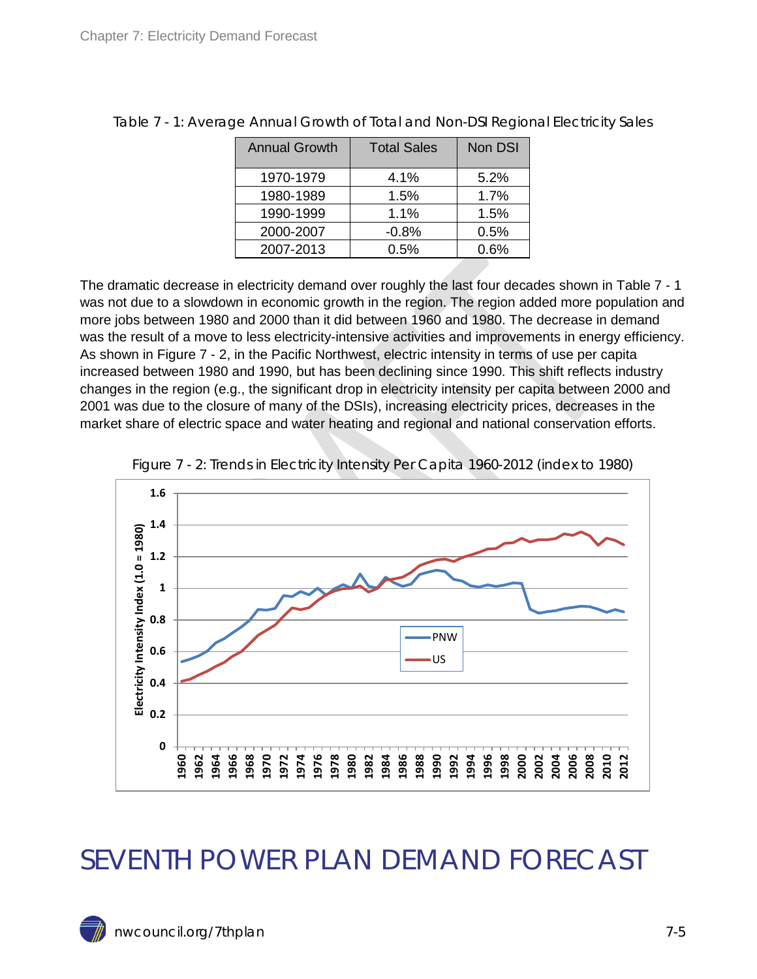| <b>Annual Growth</b> | <b>Total Sales</b> | Non DSI |
|----------------------|--------------------|---------|
| 1970-1979            | 4.1%               | 5.2%    |
| 1980-1989            | 1.5%               | 1.7%    |
| 1990-1999            | 1.1%               | 1.5%    |
| 2000-2007            | $-0.8%$            | 0.5%    |
| 2007-2013            | $0.5\%$            | 0.6%    |

<span id="page-4-1"></span>Table 7 - 1: Average Annual Growth of Total and Non-DSI Regional Electricity Sales

The dramatic decrease in electricity demand over roughly the last four decades shown in Table 7 - 1 was not due to a slowdown in economic growth in the region. The region added more population and more jobs between 1980 and 2000 than it did between 1960 and 1980. The decrease in demand was the result of a move to less electricity-intensive activities and improvements in energy efficiency. As shown in Figure 7 - 2, in the Pacific Northwest, electric intensity in terms of use per capita increased between 1980 and 1990, but has been declining since 1990. This shift reflects industry changes in the region (e.g., the significant drop in electricity intensity per capita between 2000 and 2001 was due to the closure of many of the DSIs), increasing electricity prices, decreases in the market share of electric space and water heating and regional and national conservation efforts.

<span id="page-4-2"></span>



### <span id="page-4-0"></span>SEVENTH POWER PLAN DEMAND FORECAST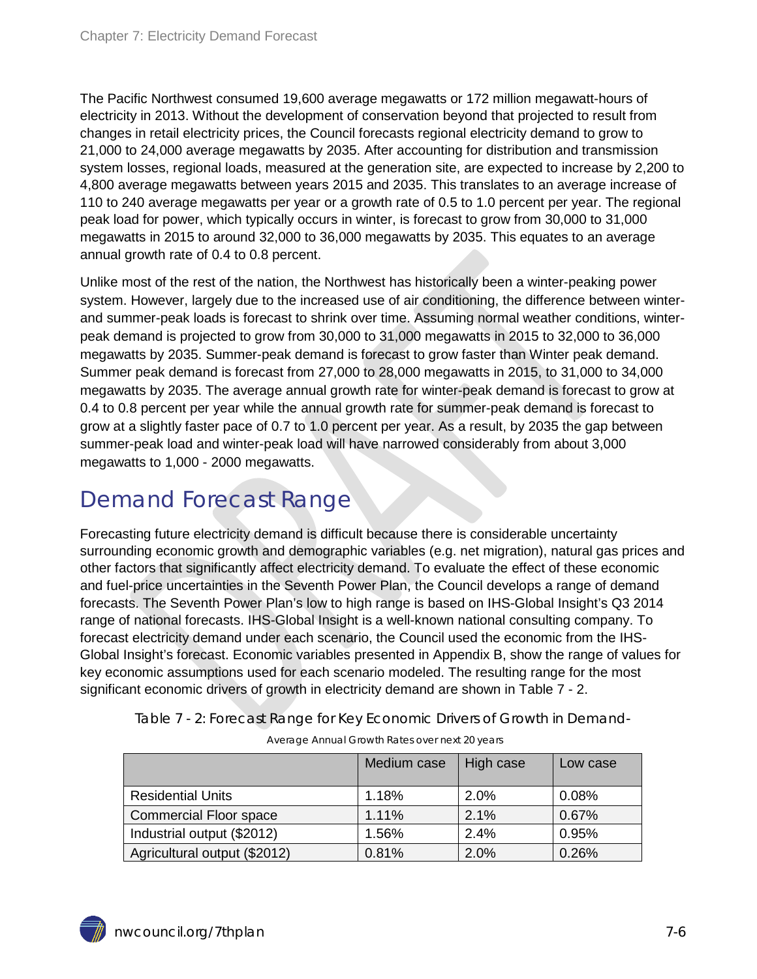The Pacific Northwest consumed 19,600 average megawatts or 172 million megawatt-hours of electricity in 2013. Without the development of conservation beyond that projected to result from changes in retail electricity prices, the Council forecasts regional electricity demand to grow to 21,000 to 24,000 average megawatts by 2035. After accounting for distribution and transmission system losses, regional loads, measured at the generation site, are expected to increase by 2,200 to 4,800 average megawatts between years 2015 and 2035. This translates to an average increase of 110 to 240 average megawatts per year or a growth rate of 0.5 to 1.0 percent per year. The regional peak load for power, which typically occurs in winter, is forecast to grow from 30,000 to 31,000 megawatts in 2015 to around 32,000 to 36,000 megawatts by 2035. This equates to an average annual growth rate of 0.4 to 0.8 percent.

Unlike most of the rest of the nation, the Northwest has historically been a winter-peaking power system. However, largely due to the increased use of air conditioning, the difference between winterand summer-peak loads is forecast to shrink over time. Assuming normal weather conditions, winterpeak demand is projected to grow from 30,000 to 31,000 megawatts in 2015 to 32,000 to 36,000 megawatts by 2035. Summer-peak demand is forecast to grow faster than Winter peak demand. Summer peak demand is forecast from 27,000 to 28,000 megawatts in 2015, to 31,000 to 34,000 megawatts by 2035. The average annual growth rate for winter-peak demand is forecast to grow at 0.4 to 0.8 percent per year while the annual growth rate for summer-peak demand is forecast to grow at a slightly faster pace of 0.7 to 1.0 percent per year. As a result, by 2035 the gap between summer-peak load and winter-peak load will have narrowed considerably from about 3,000 megawatts to 1,000 - 2000 megawatts.

### <span id="page-5-0"></span>Demand Forecast Range

Forecasting future electricity demand is difficult because there is considerable uncertainty surrounding economic growth and demographic variables (e.g. net migration), natural gas prices and other factors that significantly affect electricity demand. To evaluate the effect of these economic and fuel-price uncertainties in the Seventh Power Plan, the Council develops a range of demand forecasts. The Seventh Power Plan's low to high range is based on IHS-Global Insight's Q3 2014 range of national forecasts. IHS-Global Insight is a well-known national consulting company. To forecast electricity demand under each scenario, the Council used the economic from the IHS-Global Insight's forecast. Economic variables presented in Appendix B, show the range of values for key economic assumptions used for each scenario modeled. The resulting range for the most significant economic drivers of growth in electricity demand are shown in Table 7 - 2.

|                              | Medium case | High case | Low case |
|------------------------------|-------------|-----------|----------|
| <b>Residential Units</b>     | 1.18%       | 2.0%      | 0.08%    |
| Commercial Floor space       | 1.11%       | 2.1%      | 0.67%    |
| Industrial output (\$2012)   | 1.56%       | 2.4%      | 0.95%    |
| Agricultural output (\$2012) | 0.81%       | 2.0%      | 0.26%    |

<span id="page-5-1"></span>Table 7 - 2: Forecast Range for Key Economic Drivers of Growth in Demand-

<span id="page-5-2"></span>

| Average Annual Growth Rates over next 20 years |  |  |  |  |
|------------------------------------------------|--|--|--|--|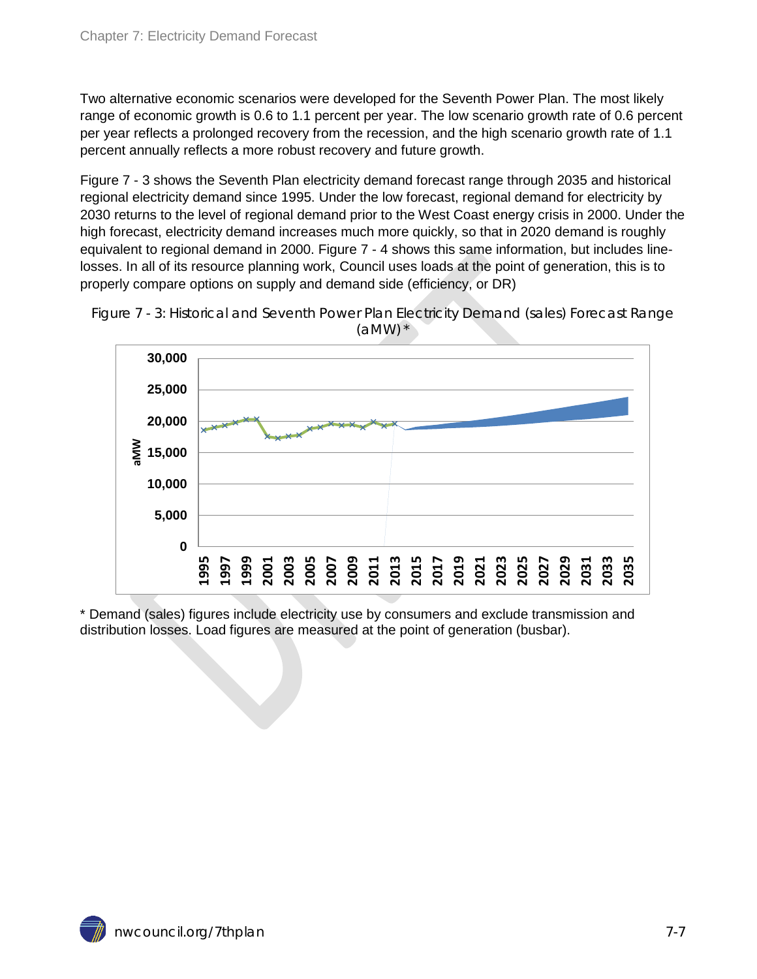Two alternative economic scenarios were developed for the Seventh Power Plan. The most likely range of economic growth is 0.6 to 1.1 percent per year. The low scenario growth rate of 0.6 percent per year reflects a prolonged recovery from the recession, and the high scenario growth rate of 1.1 percent annually reflects a more robust recovery and future growth.

Figure 7 - 3 shows the Seventh Plan electricity demand forecast range through 2035 and historical regional electricity demand since 1995. Under the low forecast, regional demand for electricity by 2030 returns to the level of regional demand prior to the West Coast energy crisis in 2000. Under the high forecast, electricity demand increases much more quickly, so that in 2020 demand is roughly equivalent to regional demand in 2000. Figure 7 - 4 shows this same information, but includes linelosses. In all of its resource planning work, Council uses loads at the point of generation, this is to properly compare options on supply and demand side (efficiency, or DR)

<span id="page-6-0"></span>



\* Demand (sales) figures include electricity use by consumers and exclude transmission and distribution losses. Load figures are measured at the point of generation (busbar).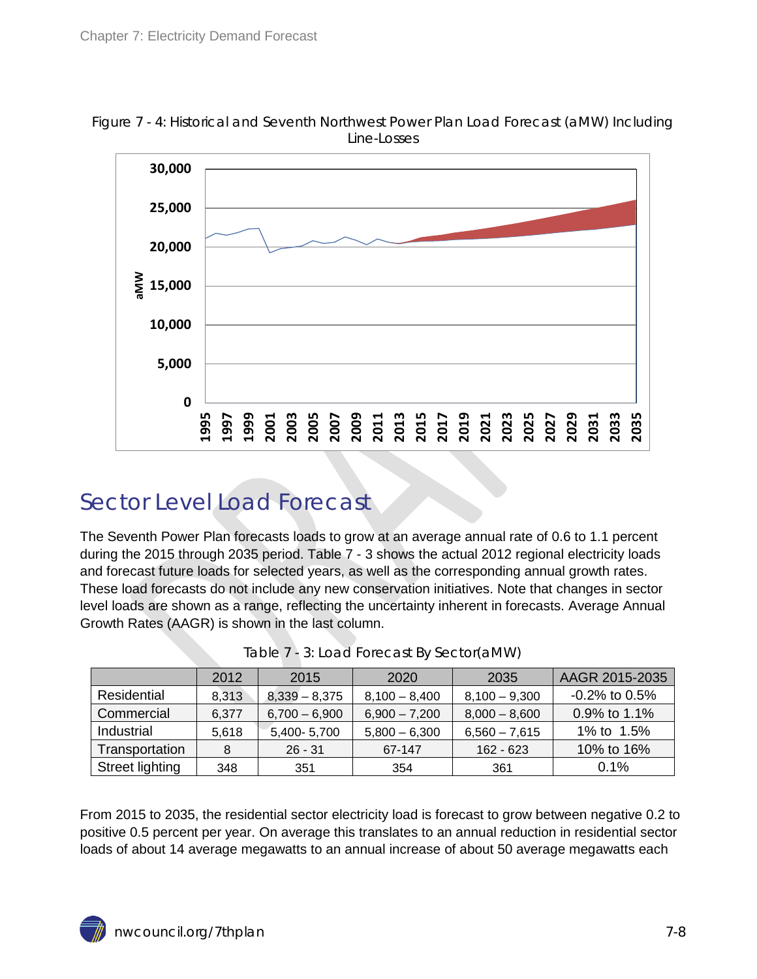

<span id="page-7-1"></span>Figure 7 - 4: Historical and Seventh Northwest Power Plan Load Forecast (aMW) Including Line-Losses

#### <span id="page-7-0"></span>Sector Level Load Forecast

The Seventh Power Plan forecasts loads to grow at an average annual rate of 0.6 to 1.1 percent during the 2015 through 2035 period. Table 7 - 3 shows the actual 2012 regional electricity loads and forecast future loads for selected years, as well as the corresponding annual growth rates. These load forecasts do not include any new conservation initiatives. Note that changes in sector level loads are shown as a range, reflecting the uncertainty inherent in forecasts. Average Annual Growth Rates (AAGR) is shown in the last column.

<span id="page-7-2"></span>

|                 | 2012  | 2020<br>2015    |                 | 2035            | AAGR 2015-2035   |
|-----------------|-------|-----------------|-----------------|-----------------|------------------|
| Residential     | 8,313 | $8,339 - 8,375$ | $8,100 - 8,400$ | $8,100 - 9,300$ | $-0.2\%$ to 0.5% |
| Commercial      | 6.377 | $6,700 - 6,900$ | $6,900 - 7,200$ | $8,000 - 8,600$ | 0.9% to 1.1%     |
| Industrial      | 5,618 | 5,400-5,700     | $5,800 - 6,300$ | $6,560 - 7,615$ | 1% to 1.5%       |
| Transportation  | 8     | $26 - 31$       | 67-147          | $162 - 623$     | 10% to 16%       |
| Street lighting | 348   | 351             | 354             | 361             | $0.1\%$          |

| Table 7 - 3: Load Forecast By Sector(aMW) |  |  |  |  |  |  |  |  |
|-------------------------------------------|--|--|--|--|--|--|--|--|
|-------------------------------------------|--|--|--|--|--|--|--|--|

From 2015 to 2035, the residential sector electricity load is forecast to grow between negative 0.2 to positive 0.5 percent per year. On average this translates to an annual reduction in residential sector loads of about 14 average megawatts to an annual increase of about 50 average megawatts each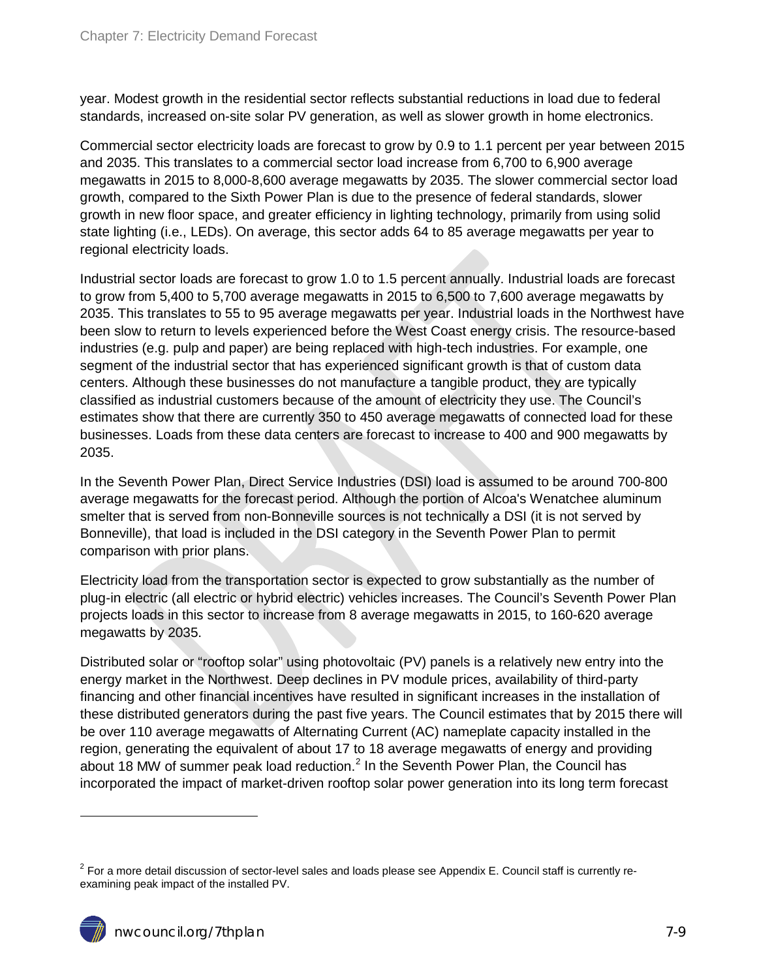year. Modest growth in the residential sector reflects substantial reductions in load due to federal standards, increased on-site solar PV generation, as well as slower growth in home electronics.

Commercial sector electricity loads are forecast to grow by 0.9 to 1.1 percent per year between 2015 and 2035. This translates to a commercial sector load increase from 6,700 to 6,900 average megawatts in 2015 to 8,000-8,600 average megawatts by 2035. The slower commercial sector load growth, compared to the Sixth Power Plan is due to the presence of federal standards, slower growth in new floor space, and greater efficiency in lighting technology, primarily from using solid state lighting (i.e., LEDs). On average, this sector adds 64 to 85 average megawatts per year to regional electricity loads.

Industrial sector loads are forecast to grow 1.0 to 1.5 percent annually. Industrial loads are forecast to grow from 5,400 to 5,700 average megawatts in 2015 to 6,500 to 7,600 average megawatts by 2035. This translates to 55 to 95 average megawatts per year. Industrial loads in the Northwest have been slow to return to levels experienced before the West Coast energy crisis. The resource-based industries (e.g. pulp and paper) are being replaced with high-tech industries. For example, one segment of the industrial sector that has experienced significant growth is that of custom data centers. Although these businesses do not manufacture a tangible product, they are typically classified as industrial customers because of the amount of electricity they use. The Council's estimates show that there are currently 350 to 450 average megawatts of connected load for these businesses. Loads from these data centers are forecast to increase to 400 and 900 megawatts by 2035.

In the Seventh Power Plan, Direct Service Industries (DSI) load is assumed to be around 700-800 average megawatts for the forecast period. Although the portion of Alcoa's Wenatchee aluminum smelter that is served from non-Bonneville sources is not technically a DSI (it is not served by Bonneville), that load is included in the DSI category in the Seventh Power Plan to permit comparison with prior plans.

Electricity load from the transportation sector is expected to grow substantially as the number of plug-in electric (all electric or hybrid electric) vehicles increases. The Council's Seventh Power Plan projects loads in this sector to increase from 8 average megawatts in 2015, to 160-620 average megawatts by 2035.

Distributed solar or "rooftop solar" using photovoltaic (PV) panels is a relatively new entry into the energy market in the Northwest. Deep declines in PV module prices, availability of third-party financing and other financial incentives have resulted in significant increases in the installation of these distributed generators during the past five years. The Council estimates that by 2015 there will be over 110 average megawatts of Alternating Current (AC) nameplate capacity installed in the region, generating the equivalent of about 17 to 18 average megawatts of energy and providing about 18 MW of summer peak load reduction.<sup>[2](#page-2-2)</sup> In the Seventh Power Plan, the Council has incorporated the impact of market-driven rooftop solar power generation into its long term forecast

 $\ddot{ }$ 

<span id="page-8-0"></span> $2$  For a more detail discussion of sector-level sales and loads please see Appendix E. Council staff is currently reexamining peak impact of the installed PV.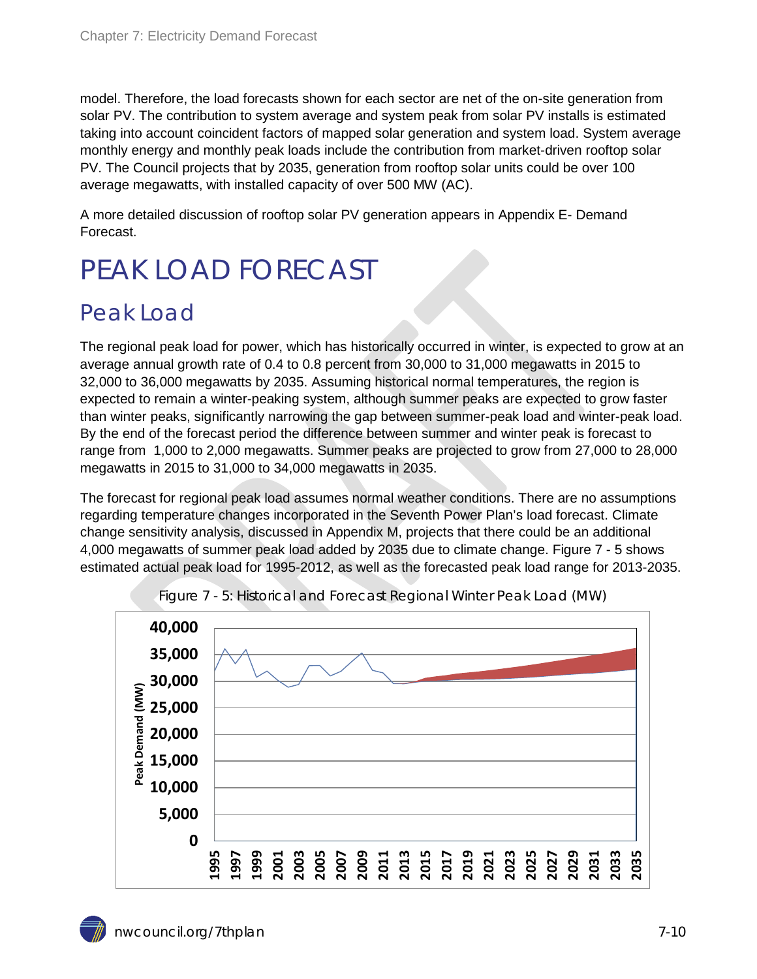model. Therefore, the load forecasts shown for each sector are net of the on-site generation from solar PV. The contribution to system average and system peak from solar PV installs is estimated taking into account coincident factors of mapped solar generation and system load. System average monthly energy and monthly peak loads include the contribution from market-driven rooftop solar PV. The Council projects that by 2035, generation from rooftop solar units could be over 100 average megawatts, with installed capacity of over 500 MW (AC).

A more detailed discussion of rooftop solar PV generation appears in Appendix E- Demand Forecast.

# <span id="page-9-0"></span>PEAK LOAD FORECAST

#### <span id="page-9-1"></span>Peak Load

The regional peak load for power, which has historically occurred in winter, is expected to grow at an average annual growth rate of 0.4 to 0.8 percent from 30,000 to 31,000 megawatts in 2015 to 32,000 to 36,000 megawatts by 2035. Assuming historical normal temperatures, the region is expected to remain a winter-peaking system, although summer peaks are expected to grow faster than winter peaks, significantly narrowing the gap between summer-peak load and winter-peak load. By the end of the forecast period the difference between summer and winter peak is forecast to range from 1,000 to 2,000 megawatts. Summer peaks are projected to grow from 27,000 to 28,000 megawatts in 2015 to 31,000 to 34,000 megawatts in 2035.

The forecast for regional peak load assumes normal weather conditions. There are no assumptions regarding temperature changes incorporated in the Seventh Power Plan's load forecast. Climate change sensitivity analysis, discussed in Appendix M, projects that there could be an additional 4,000 megawatts of summer peak load added by 2035 due to climate change. Figure 7 - 5 shows estimated actual peak load for 1995-2012, as well as the forecasted peak load range for 2013-2035.

<span id="page-9-2"></span>

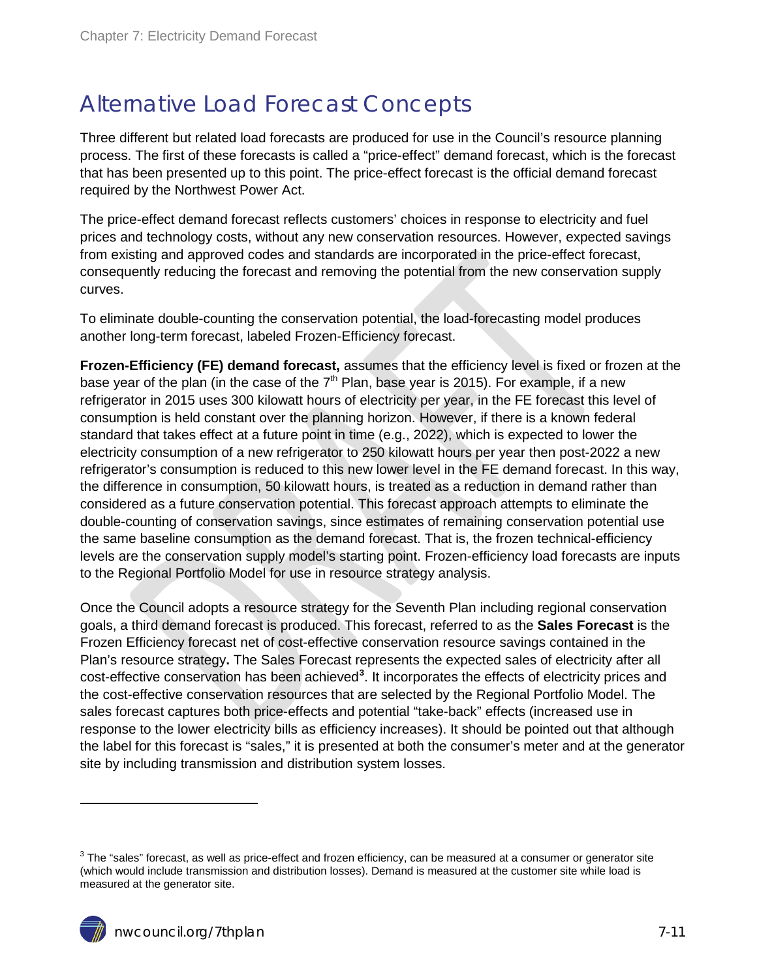#### <span id="page-10-0"></span>Alternative Load Forecast Concepts

Three different but related load forecasts are produced for use in the Council's resource planning process. The first of these forecasts is called a "price-effect" demand forecast, which is the forecast that has been presented up to this point. The price-effect forecast is the official demand forecast required by the Northwest Power Act.

The price-effect demand forecast reflects customers' choices in response to electricity and fuel prices and technology costs, without any new conservation resources. However, expected savings from existing and approved codes and standards are incorporated in the price-effect forecast, consequently reducing the forecast and removing the potential from the new conservation supply curves.

To eliminate double-counting the conservation potential, the load-forecasting model produces another long-term forecast, labeled Frozen-Efficiency forecast.

**Frozen-Efficiency (FE) demand forecast,** assumes that the efficiency level is fixed or frozen at the base year of the plan (in the case of the  $7<sup>th</sup>$  Plan, base year is 2015). For example, if a new refrigerator in 2015 uses 300 kilowatt hours of electricity per year, in the FE forecast this level of consumption is held constant over the planning horizon. However, if there is a known federal standard that takes effect at a future point in time (e.g., 2022), which is expected to lower the electricity consumption of a new refrigerator to 250 kilowatt hours per year then post-2022 a new refrigerator's consumption is reduced to this new lower level in the FE demand forecast. In this way, the difference in consumption, 50 kilowatt hours, is treated as a reduction in demand rather than considered as a future conservation potential. This forecast approach attempts to eliminate the double-counting of conservation savings, since estimates of remaining conservation potential use the same baseline consumption as the demand forecast. That is, the frozen technical-efficiency levels are the conservation supply model's starting point. Frozen-efficiency load forecasts are inputs to the Regional Portfolio Model for use in resource strategy analysis.

Once the Council adopts a resource strategy for the Seventh Plan including regional conservation goals, a third demand forecast is produced. This forecast, referred to as the **Sales Forecast** is the Frozen Efficiency forecast net of cost-effective conservation resource savings contained in the Plan's resource strategy**.** The Sales Forecast represents the expected sales of electricity after all cost-effective conservation has been achieved**[3](#page-8-0)** . It incorporates the effects of electricity prices and the cost-effective conservation resources that are selected by the Regional Portfolio Model. The sales forecast captures both price-effects and potential "take-back" effects (increased use in response to the lower electricity bills as efficiency increases). It should be pointed out that although the label for this forecast is "sales," it is presented at both the consumer's meter and at the generator site by including transmission and distribution system losses.

 $\ddot{ }$ 

 $3$  The "sales" forecast, as well as price-effect and frozen efficiency, can be measured at a consumer or generator site (which would include transmission and distribution losses). Demand is measured at the customer site while load is measured at the generator site.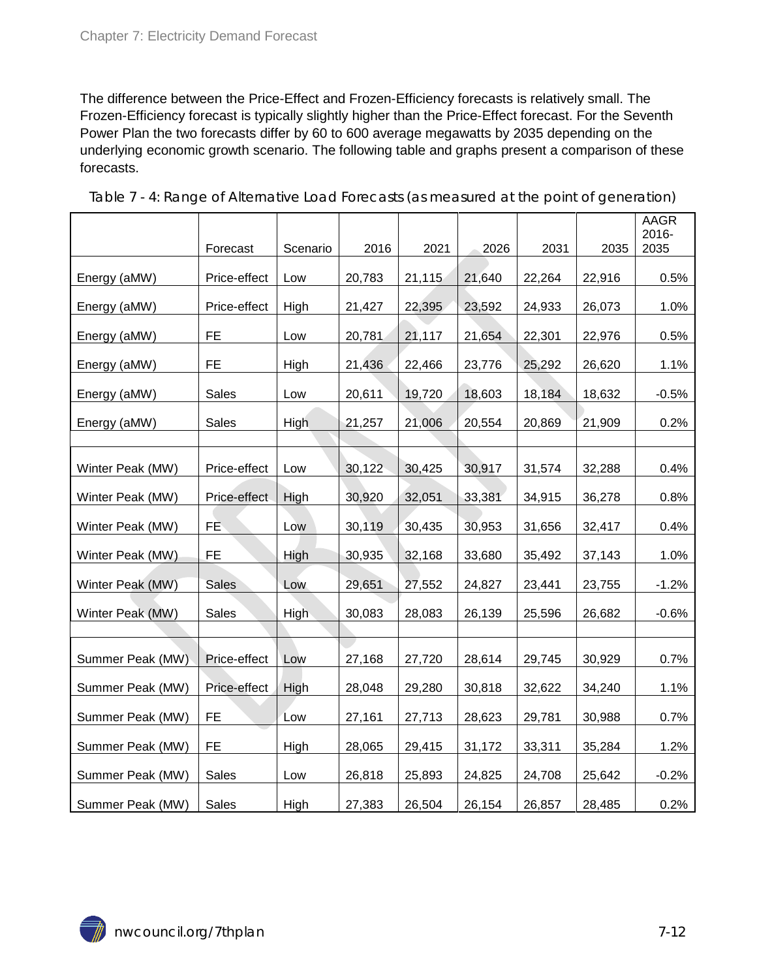The difference between the Price-Effect and Frozen-Efficiency forecasts is relatively small. The Frozen-Efficiency forecast is typically slightly higher than the Price-Effect forecast. For the Seventh Power Plan the two forecasts differ by 60 to 600 average megawatts by 2035 depending on the underlying economic growth scenario. The following table and graphs present a comparison of these forecasts.

|                  |              |          |        |        |        |        |        | AAGR          |
|------------------|--------------|----------|--------|--------|--------|--------|--------|---------------|
|                  | Forecast     | Scenario | 2016   | 2021   | 2026   | 2031   | 2035   | 2016-<br>2035 |
|                  |              |          |        |        |        |        |        |               |
| Energy (aMW)     | Price-effect | Low      | 20,783 | 21,115 | 21,640 | 22,264 | 22,916 | 0.5%          |
| Energy (aMW)     | Price-effect | High     | 21,427 | 22,395 | 23,592 | 24,933 | 26,073 | 1.0%          |
| Energy (aMW)     | FE.          | Low      | 20,781 | 21,117 | 21,654 | 22,301 | 22,976 | 0.5%          |
| Energy (aMW)     | FE.          | High     | 21,436 | 22,466 | 23,776 | 25,292 | 26,620 | 1.1%          |
| Energy (aMW)     | Sales        | Low      | 20,611 | 19,720 | 18,603 | 18,184 | 18,632 | $-0.5%$       |
| Energy (aMW)     | <b>Sales</b> | High     | 21,257 | 21,006 | 20,554 | 20,869 | 21,909 | 0.2%          |
|                  |              |          |        |        |        |        |        |               |
| Winter Peak (MW) | Price-effect | Low      | 30,122 | 30,425 | 30,917 | 31,574 | 32,288 | 0.4%          |
| Winter Peak (MW) | Price-effect | High     | 30,920 | 32,051 | 33,381 | 34,915 | 36,278 | 0.8%          |
| Winter Peak (MW) | FÈ.          | Low      | 30,119 | 30,435 | 30,953 | 31,656 | 32,417 | 0.4%          |
| Winter Peak (MW) | FE.          | High     | 30,935 | 32,168 | 33,680 | 35,492 | 37,143 | 1.0%          |
| Winter Peak (MW) | <b>Sales</b> | Low      | 29,651 | 27,552 | 24,827 | 23,441 | 23,755 | $-1.2%$       |
| Winter Peak (MW) | <b>Sales</b> | High     | 30,083 | 28,083 | 26,139 | 25,596 | 26,682 | $-0.6%$       |
|                  |              |          |        |        |        |        |        |               |
| Summer Peak (MW) | Price-effect | Low      | 27,168 | 27,720 | 28,614 | 29,745 | 30,929 | 0.7%          |
| Summer Peak (MW) | Price-effect | High     | 28,048 | 29,280 | 30,818 | 32,622 | 34,240 | 1.1%          |
| Summer Peak (MW) | FE.          | Low      | 27,161 | 27,713 | 28,623 | 29,781 | 30,988 | 0.7%          |
| Summer Peak (MW) | FE.          | High     | 28,065 | 29,415 | 31,172 | 33,311 | 35,284 | 1.2%          |
| Summer Peak (MW) | Sales        | Low      | 26,818 | 25,893 | 24,825 | 24,708 | 25,642 | $-0.2%$       |
| Summer Peak (MW) | Sales        | High     | 27,383 | 26,504 | 26,154 | 26,857 | 28,485 | 0.2%          |

<span id="page-11-0"></span>Table 7 - 4: Range of Alternative Load Forecasts (as measured at the point of generation)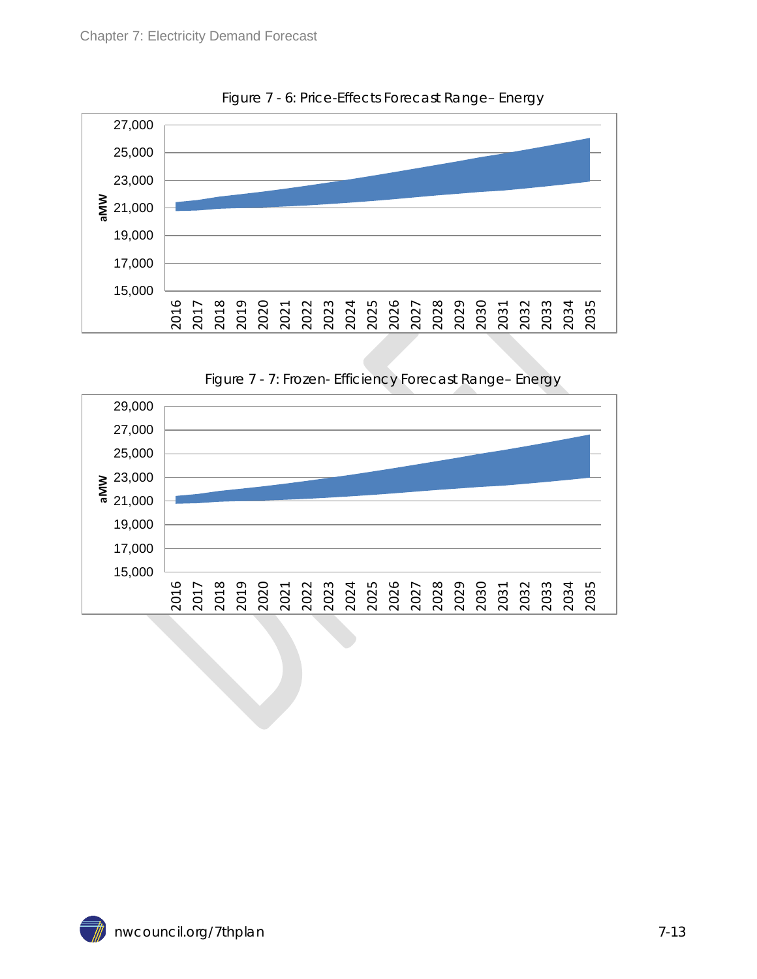<span id="page-12-0"></span>

Figure 7 - 6: Price-Effects Forecast Range– Energy



<span id="page-12-1"></span>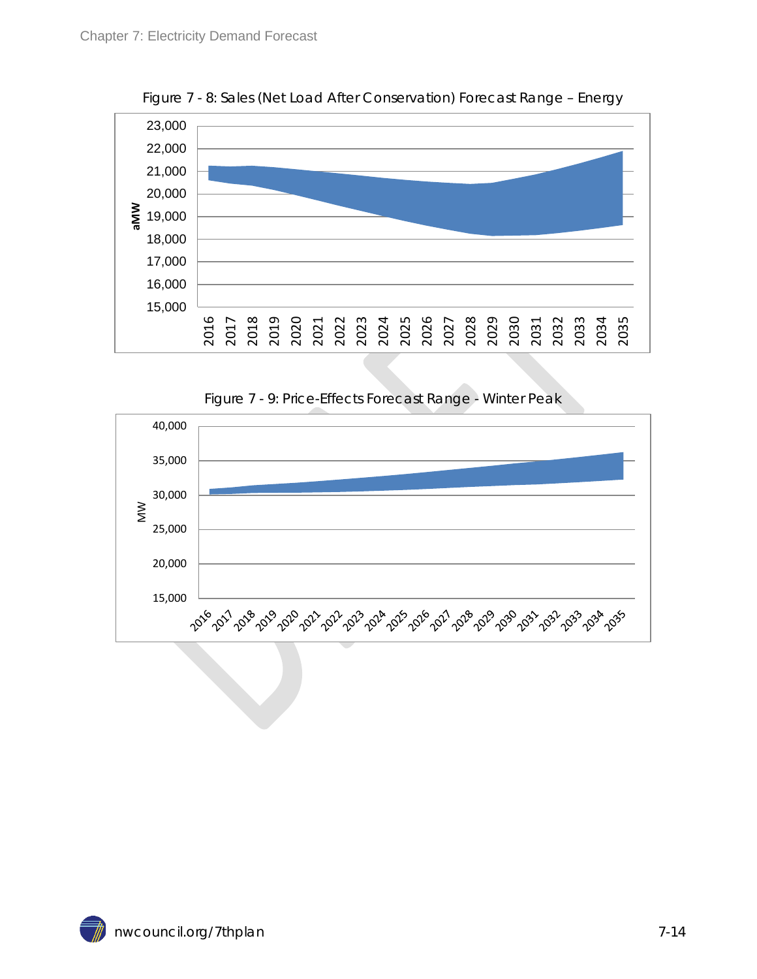<span id="page-13-0"></span>

Figure 7 - 8: Sales (Net Load After Conservation) Forecast Range – Energy

Figure 7 - 9: Price-Effects Forecast Range - Winter Peak

<span id="page-13-1"></span>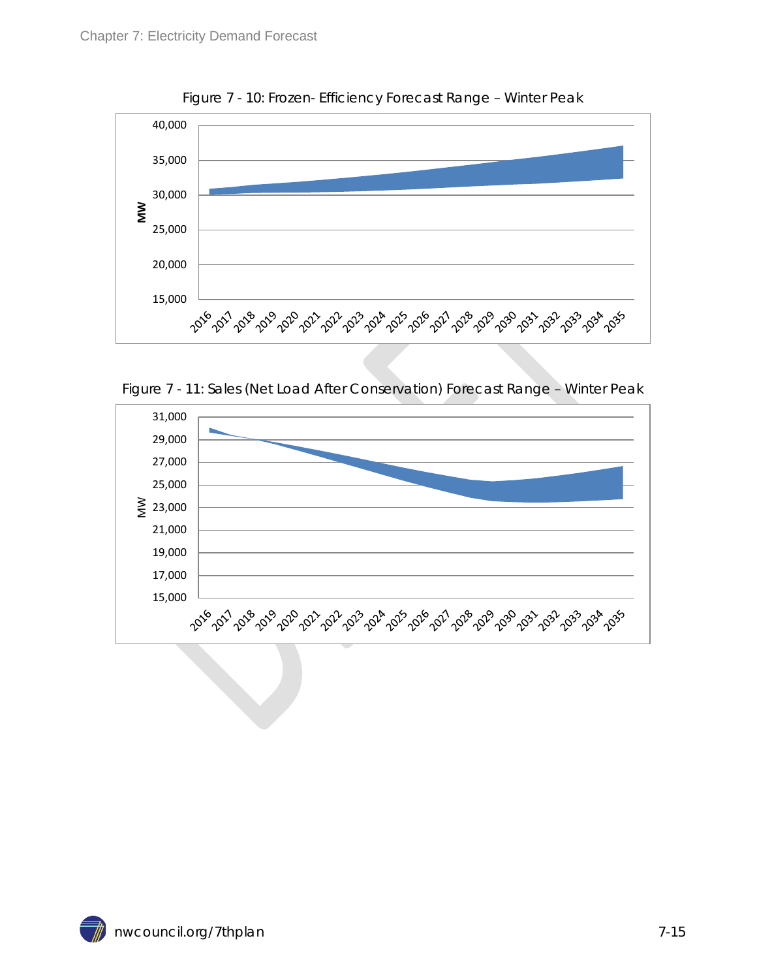<span id="page-14-0"></span>

Figure 7 - 10: Frozen- Efficiency Forecast Range – Winter Peak

Figure 7 - 11: Sales (Net Load After Conservation) Forecast Range – Winter Peak

<span id="page-14-1"></span>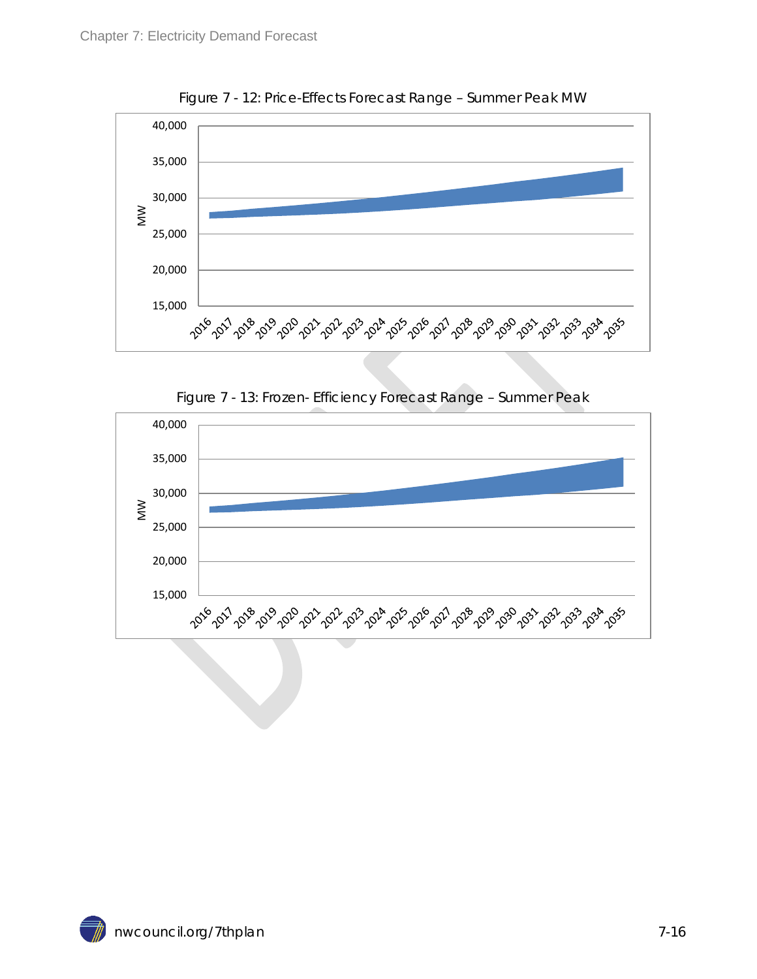<span id="page-15-0"></span>

Figure 7 - 12: Price-Effects Forecast Range – Summer Peak MW

Figure 7 - 13: Frozen- Efficiency Forecast Range – Summer Peak

<span id="page-15-1"></span>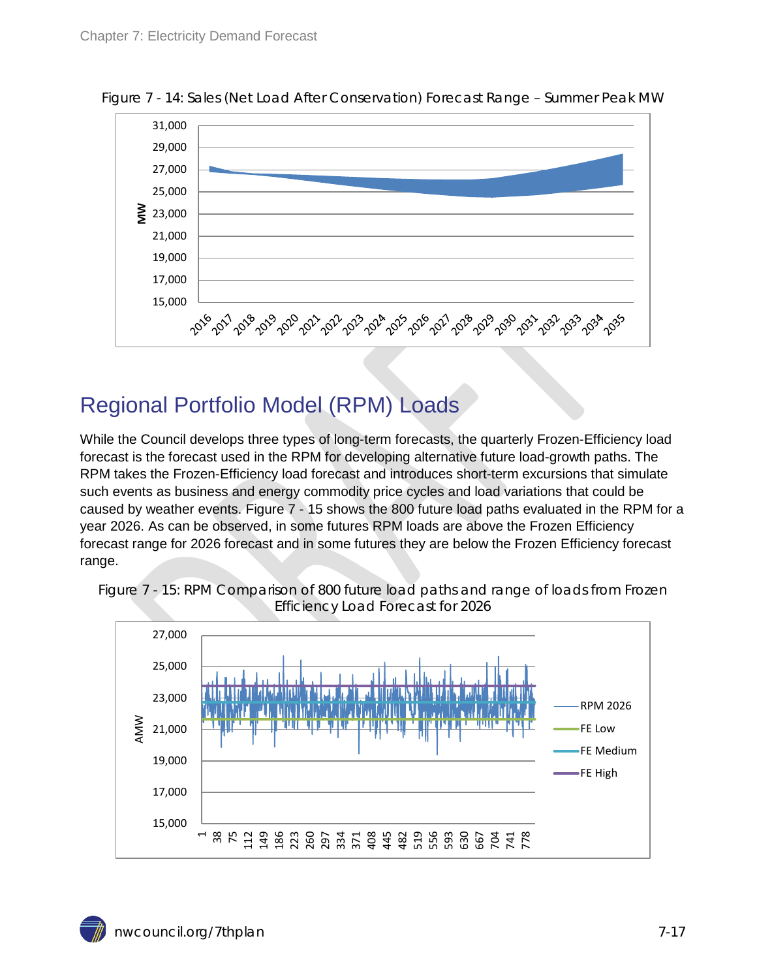

<span id="page-16-1"></span>Figure 7 - 14: Sales (Net Load After Conservation) Forecast Range – Summer Peak MW

#### <span id="page-16-0"></span>Regional Portfolio Model (RPM) Loads

While the Council develops three types of long-term forecasts, the quarterly Frozen-Efficiency load forecast is the forecast used in the RPM for developing alternative future load-growth paths. The RPM takes the Frozen-Efficiency load forecast and introduces short-term excursions that simulate such events as business and energy commodity price cycles and load variations that could be caused by weather events. Figure 7 - 15 shows the 800 future load paths evaluated in the RPM for a year 2026. As can be observed, in some futures RPM loads are above the Frozen Efficiency forecast range for 2026 forecast and in some futures they are below the Frozen Efficiency forecast range.



<span id="page-16-2"></span>Figure 7 - 15: RPM Comparison of 800 future load paths and range of loads from Frozen Efficiency Load Forecast for 2026